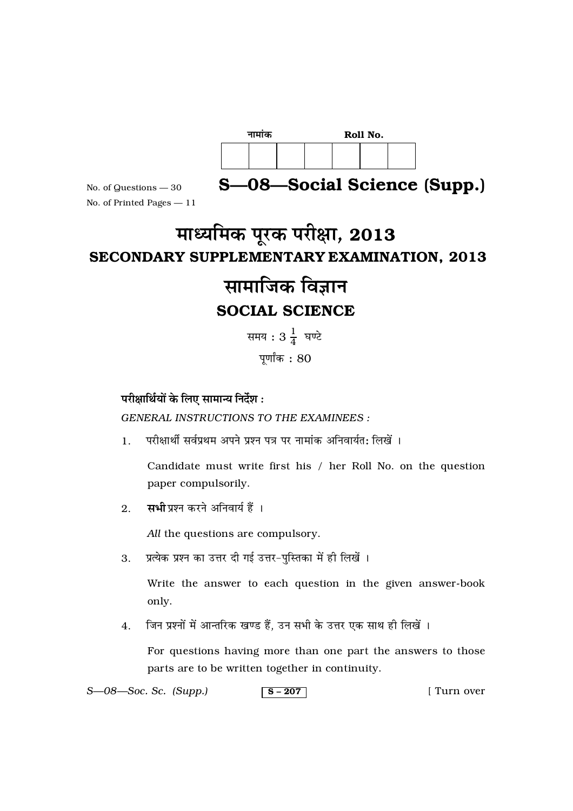| नामांक |  |  | Roll No. |  |  |  |
|--------|--|--|----------|--|--|--|
|        |  |  |          |  |  |  |

S-08-Social Science (Supp.)

No. of Questions - 30 No. of Printed Pages - 11

# माध्यमिक पूरक परीक्षा, 2013 **SECONDARY SUPPLEMENTARY EXAMINATION, 2013**

# सामाजिक विज्ञान **SOCIAL SCIENCE**

समय:  $3\frac{1}{4}$  घण्टे पुर्णांक $: 80$ 

# परीक्षार्थियों के लिए सामान्य निर्देश:

**GENERAL INSTRUCTIONS TO THE EXAMINEES:** 

परीक्षार्थी सर्वप्रथम अपने प्रश्न पत्र पर नामांक अनिवार्यत: लिखें ।  $\mathbf{1}$ .

Candidate must write first his / her Roll No. on the question paper compulsorily.

सभी प्रश्न करने अनिवार्य हैं ।  $2.$ 

All the questions are compulsory.

प्रत्येक प्रश्न का उत्तर दी गई उत्तर-पुस्तिका में ही लिखें ।  $3.$ 

> Write the answer to each question in the given answer-book only.

जिन प्रश्नों में आन्तरिक खण्ड हैं, उन सभी के उत्तर एक साथ ही लिखें । 4.

For questions having more than one part the answers to those parts are to be written together in continuity.

 $S - 08 - Soc.$  Sc. (Supp.)  $s - 207$ [ Turn over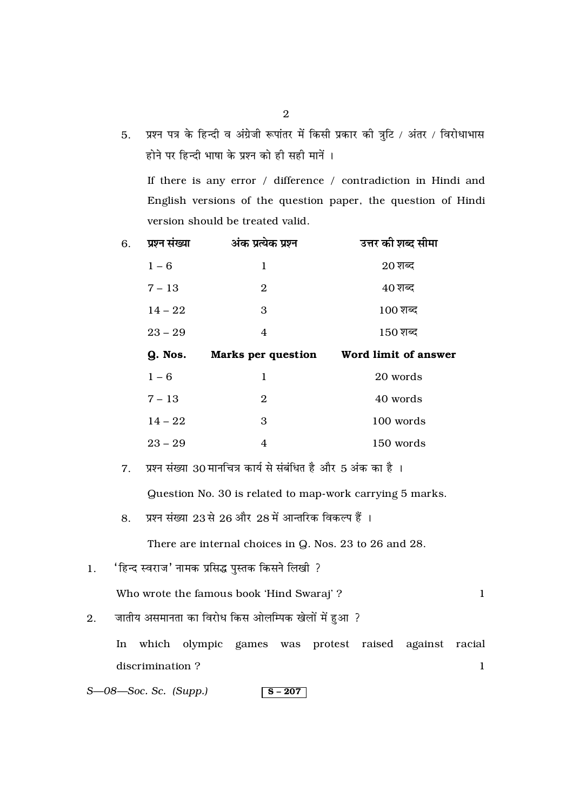प्रश्न पत्र के हिन्दी व अंग्रेजी रूपांतर में किसी प्रकार की त्रुटि / अंतर / विरोधाभास  $5.$ होने पर हिन्दी भाषा के प्रश्न को ही सही मानें ।

If there is any error  $\hspace{0.1 cm}/\hspace{0.1 cm}$  difference  $\hspace{0.1 cm}/\hspace{0.1 cm}$  contradiction in Hindi and English versions of the question paper, the question of Hindi version should be treated valid.

| 6. | प्रश्न संख्या | अंक प्रत्येक प्रश्न       | उत्तर की शब्द सीमा             |
|----|---------------|---------------------------|--------------------------------|
|    | $1 - 6$       | 1                         | $20 \overline{\mathrm{g}}$ क्द |
|    | $7 - 13$      | 2                         | $40 \overline{\mathrm{M}}$ ब्द |
|    | $14 - 22$     | 3                         | $100 \,$ शब्द                  |
|    | $23 - 29$     | 4                         | $150$ शब्द                     |
|    |               |                           |                                |
|    | Q. Nos.       | <b>Marks per question</b> | Word limit of answer           |
|    | $1 - 6$       | $\mathbf 1$               | 20 words                       |
|    | $7 - 13$      | $\mathbf{2}$              | 40 words                       |
|    | $14 - 22$     | 3                         | 100 words                      |

प्रश्न संख्या 30 मानचित्र कार्य से संबंधित है और 5 अंक का है ।  $7.$ Question No. 30 is related to map-work carrying 5 marks.

प्रश्न संख्या 23 से 26 और 28 में आन्तरिक विकल्प हैं । 8.

There are internal choices in Q. Nos. 23 to 26 and 28.

'हिन्द स्वराज' नामक प्रसिद्ध पुस्तक किसने लिखी ?  $\overline{1}$ .

Who wrote the famous book 'Hind Swaraj' ?

 $\mathbf{1}$ 

- जातीय असमानता का विरोध किस ओलम्पिक खेलों में हुआ ?  $2.$ 
	- In which olympic games was protest raised against racial discrimination?  $\mathbf{1}$
- $S$ — $08$ — $Soc$ . Sc. (Supp.)  $s - 207$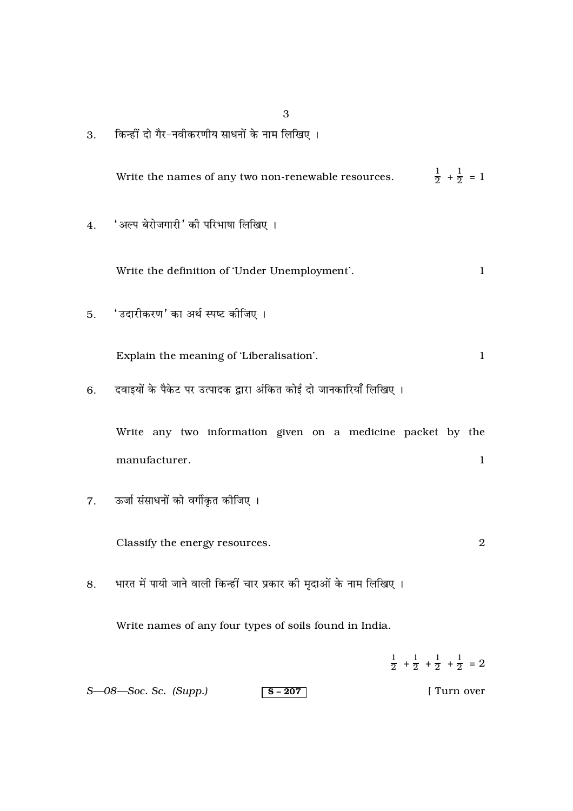3. किन्हीं दो गैर-नवीकरणीय साधनों के नाम लिखिए ।

Write the names of any two non-renewable resources. <sup>1</sup>  $\frac{1}{2} + \frac{1}{2} = 1$ 

4. 'अल्प बेरोजगारी' की परिभाषा लिखिए ।

Write the definition of 'Under Unemployment'. 1

5. 'उदारीकरण' का अर्थ स्पष्ट कीजिए ।

Explain the meaning of 'Liberalisation'. 1

6. दवाइयों के पैकेट पर उत्पादक द्वारा अंकित कोई दो जानकारियाँ लिखिए ।

Write any two information given on a medicine packet by the manufacturer. 1

7. ऊर्जा संसाधनों को वर्गीकृत कीजिए ।

Classify the energy resources. 2

8. भारत में पायी जाने वाली किन्हीं चार प्रकार की मृदाओं के नाम लिखिए ।

Write names of any four types of soils found in India.

*S*—08—Soc. *Sc. (Supp.)* S – 207 [ Turn over  $\frac{1}{2}$  +  $\frac{1}{2}$  +  $\frac{1}{2}$  +  $\frac{1}{2}$  = 2

3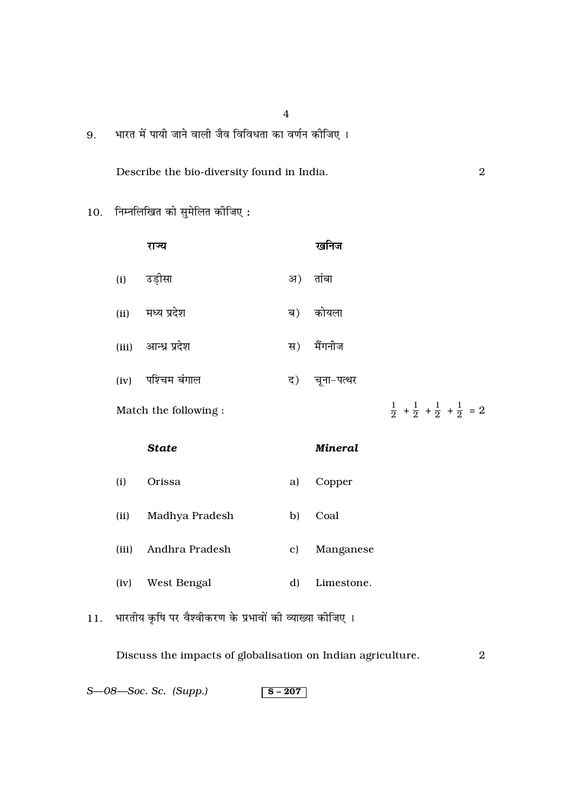भारत में पायी जाने वाली जैव विविधता का वर्णन कीजिए ।  $9<sub>1</sub>$ 

Describe the bio-diversity found in India.

 $\,2\,$ 

10. निम्नलिखित को सुमेलित कीजिए:

|      | राज्य                 |    | खनिज       |  |  |                                                             |
|------|-----------------------|----|------------|--|--|-------------------------------------------------------------|
| (i)  | उड़ीसा                | अ) | तांबा      |  |  |                                                             |
| (ii) | मध्य प्रदेश           | ब) | कोयला      |  |  |                                                             |
|      | (iii) आन्ध्र प्रदेश   | स) | मैंगनीज    |  |  |                                                             |
| (iv) | पश्चिम बंगाल          | द) | चूना-पत्थर |  |  |                                                             |
|      | Match the following : |    |            |  |  | $\frac{1}{2} + \frac{1}{2} + \frac{1}{2} + \frac{1}{2} = 2$ |
|      |                       |    |            |  |  |                                                             |

**Mineral** 

# **State**

- $(i)$ Orissa Copper a)
- Madhya Pradesh Coal  $(ii)$ b)
- (iii) Andhra Pradesh c) Manganese
- West Bengal Limestone.  $(iv)$  $\mathbf{d}$
- भारतीय कृषि पर वैश्वीकरण के प्रभावों की व्याख्या कीजिए ।  $11.$

Discuss the impacts of globalisation on Indian agriculture.  $\overline{2}$ 

S—08—Soc. Sc. (Supp.)  $S - 207$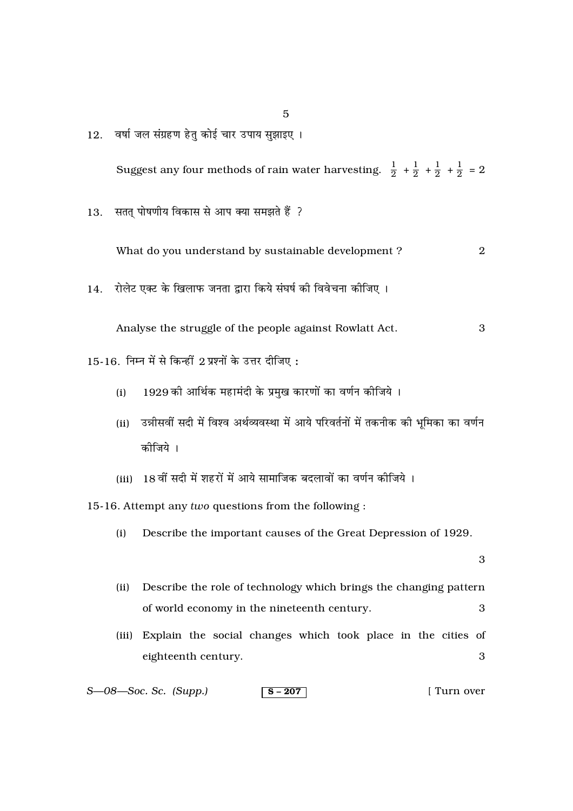वर्षा जल संग्रहण हेतु कोई चार उपाय सुझाइए ।  $12.$ 

Suggest any four methods of rain water harvesting.  $\frac{1}{2} + \frac{1}{2} + \frac{1}{2} + \frac{1}{2} = 2$ 

सतत् पोषणीय विकास से आप क्या समझते हैं ? 13.

> What do you understand by sustainable development? 2

रोलेट एक्ट के खिलाफ जनता द्वारा किये संघर्ष की विवेचना कीजिए । 14.

Analyse the struggle of the people against Rowlatt Act. 3

- 15-16. निम्न में से किन्हीं 2 प्रश्नों के उत्तर दीजिए:
	- 1929 की आर्थिक महामंदी के प्रमुख कारणों का वर्णन कीजिये ।  $(i)$
	- (ii) उन्नीसवीं सदी में विश्व अर्थव्यवस्था में आये परिवर्तनों में तकनीक की भूमिका का वर्णन कीजिये ।
	- (iii) 18 वीं सदी में शहरों में आये सामाजिक बदलावों का वर्णन कीजिये ।

15-16. Attempt any two questions from the following :

 $(i)$ Describe the important causes of the Great Depression of 1929.

3

- Describe the role of technology which brings the changing pattern  $(ii)$ of world economy in the nineteenth century.  $\mathcal{S}$
- (iii) Explain the social changes which took place in the cities of eighteenth century. 3

 $S$ — $08$ — $Soc$ . Sc. (Supp.) [ Turn over  $s - 207$ 

 $\overline{5}$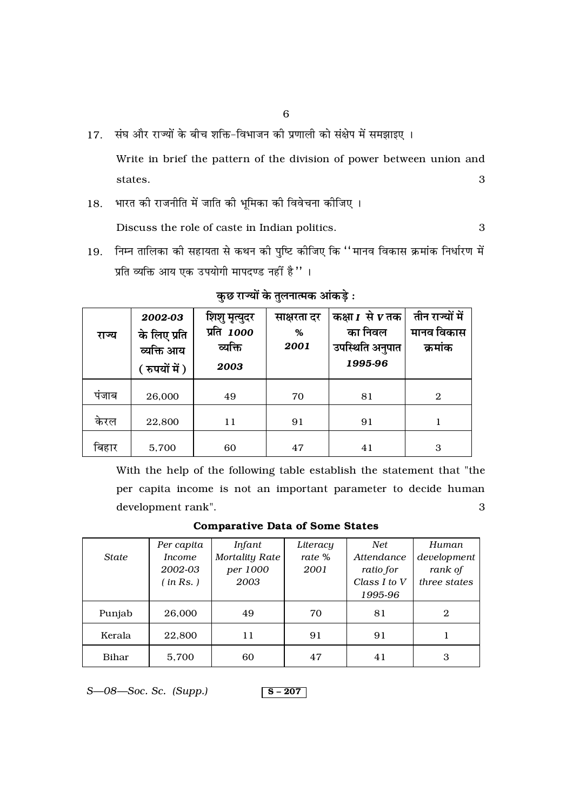17. संघ और राज्यों के बीच शक्ति-विभाजन की प्रणाली को संक्षेप में समझाइए ।

Write in brief the pattern of the division of power between union and states. 3

18. भारत की राजनीति में जाति की भूमिका की विवेचना कीजिए ।

Discuss the role of caste in Indian politics. 3

19. निम्न तालिका की सहायता से कथन की पुष्टि कीजिए कि ''मानव विकास क्रमांक निर्धारण में प्रति व्यक्ति आय एक उपयोगी मापदण्ड नहीं है "।

| राज्य | 2002-03<br>के लिए प्रति<br>व्यक्ति आय<br>( रुपयों में ) | शिशु मृत्युदर<br>प्रति <i>1000</i><br>व्यक्ति<br>2003 | साक्षरता दर<br>%<br>2001 | कक्षा $I$ से $V$ तक<br>का निवल<br>उपस्थिति अनुपात<br>1995-96 | तीन राज्यों में<br>मानव विकास<br>क्रमांक |
|-------|---------------------------------------------------------|-------------------------------------------------------|--------------------------|--------------------------------------------------------------|------------------------------------------|
| पंजाब | 26,000                                                  | 49                                                    | 70                       | 81                                                           | $\mathbf{2}$                             |
| करल   | 22,800                                                  | 11                                                    | 91                       | 91                                                           | 1                                        |
| बिहार | 5,700                                                   | 60                                                    | 47                       | 41                                                           | 3                                        |

# **∑È ¿ ⁄ÊÖÿÊ¥ ∑ ÃÈ‹ŸÊà◊∑ •Ê¢∑ «∏ —**

With the help of the following table establish the statement that "the per capita income is not an important parameter to decide human development rank". 3

### Comparative Data of Some States

|              | Per capita    | Infant                | Literacy | Net          | Human        |
|--------------|---------------|-----------------------|----------|--------------|--------------|
| <b>State</b> | <i>Income</i> | <b>Mortality Rate</b> | rate %   | Attendance   | development  |
|              | 2002-03       | per 1000              | 2001     | ratio for    | rank of      |
|              | (in Rs.)      | 2003                  |          | Class I to V | three states |
|              |               |                       |          | 1995-96      |              |
| Punjab       | 26,000        | 49                    | 70       | 81           | 2            |
| Kerala       | 22,800        | 11                    | 91       | 91           |              |
| Bihar        | 5,700         | 60                    | 47       | 41           | 3            |

*S*—08—Soc. *Sc. (Supp.)* S – 207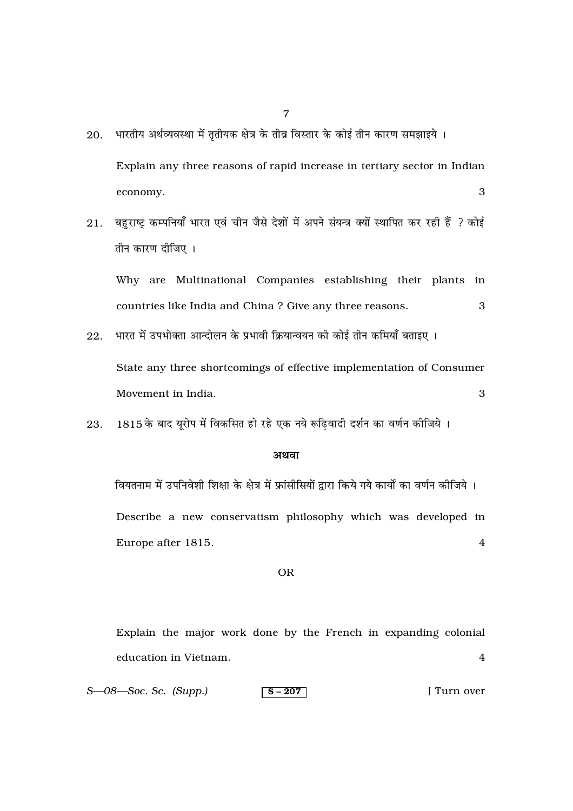- भारतीय अर्थव्यवस्था में तृतीयक क्षेत्र के तीव्र विस्तार के कोई तीन कारण समझाइये । 20. Explain any three reasons of rapid increase in tertiary sector in Indian 3 economy.
- बहुराष्ट्र कम्पनियाँ भारत एवं चीन जैसे देशों में अपने संयन्त्र क्यों स्थापित कर रही हैं ? कोई 21. तीन कारण दीजिए ।

Why are Multinational Companies establishing their plants in countries like India and China? Give any three reasons. 3

3

- भारत में उपभोक्ता आन्दोलन के प्रभावी क्रियान्वयन की कोई तीन कमियाँ बताइए । 22. State any three shortcomings of effective implementation of Consumer Movement in India.
- 1815 के बाद यूरोप में विकसित हो रहे एक नये रूढिवादी दर्शन का वर्णन कीजिये । 23.

#### अथवा

वियतनाम में उपनिवेशी शिक्षा के क्षेत्र में फ्रांसीसियों द्वारा किये गये कार्यों का वर्णन कीजिये । Describe a new conservatism philosophy which was developed in Europe after 1815.  $\overline{4}$ 

#### **OR**

Explain the major work done by the French in expanding colonial education in Vietnam.  $\overline{4}$ 

 $S$ — $08$ — $Soc$ . Sc. (Supp.) [ Turn over  $s - 207$ 

 $\overline{7}$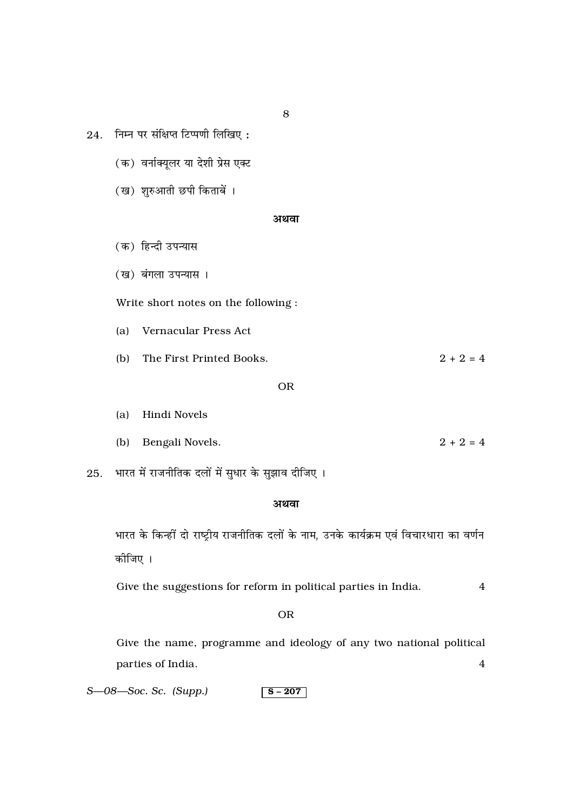- $24.$  निम्न पर संक्षिप्त टिप्पणी लिखिए:
	- (क) वर्नाक्यूलर या देशी प्रेस एक्ट
	- (ख) शुरुआती छपी किताबें ।

#### **अथवा**

- (क) हिन्दी उपन्यास
- (ख) बंगला उपन्यास ।

Write short notes on the following :

(a) Vernacular Press Act

(b) The First Printed Books.  $2 + 2 = 4$ 

- OR
- (a) Hindi Novels (b) Bengali Novels.  $2 + 2 = 4$

25. भारत में राजनीतिक दलों में सुधार के सुझाव दीजिए ।

## अथवा

भारत के किन्हीं दो राष्ट्रीय राजनीतिक दलों के नाम, उनके कार्यक्रम एवं विचारधारा का वर्णन कीजिए ।

Give the suggestions for reform in political parties in India. 4

#### OR

Give the name, programme and ideology of any two national political parties of India. 4

*S*—08—Soc. *Sc. (Supp.)* S – 207

8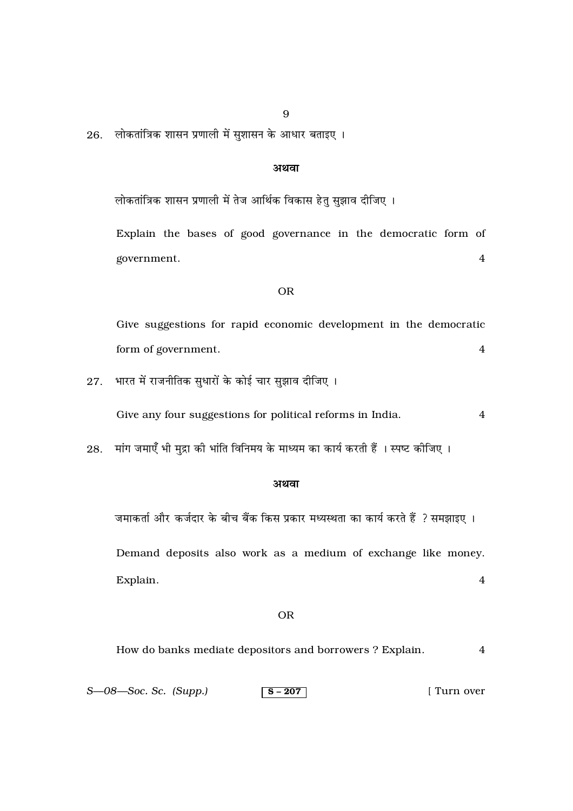26. लोकतांत्रिक शासन प्रणाली में सुशासन के आधार बताइए।

## अथवा

लोकतांत्रिक शासन प्रणाली में तेज आर्थिक विकास हेतु सुझाव दीजिए ।

Explain the bases of good governance in the democratic form of government.  $\overline{4}$ 

### **OR**

Give suggestions for rapid economic development in the democratic form of government.  $\overline{4}$ 

भारत में राजनीतिक सुधारों के कोई चार सुझाव दीजिए । 27.

> Give any four suggestions for political reforms in India.  $\overline{4}$

मांग जमाएँ भी मुद्रा की भांति विनिमय के माध्यम का कार्य करती हैं । स्पष्ट कीजिए । 28.

#### अथवा

जमाकर्ता और कर्जदार के बीच बैंक किस प्रकार मध्यस्थता का कार्य करते हैं ? समझाइए । Demand deposits also work as a medium of exchange like money.  $\overline{4}$ Explain.

#### **OR**

| How do banks mediate depositors and borrowers? Explain. |  |
|---------------------------------------------------------|--|
|                                                         |  |

|  | $S$ — $08$ — $Soc$ . Sc. (Supp.) | $\vert$ S – 207 | I Turn over |
|--|----------------------------------|-----------------|-------------|
|--|----------------------------------|-----------------|-------------|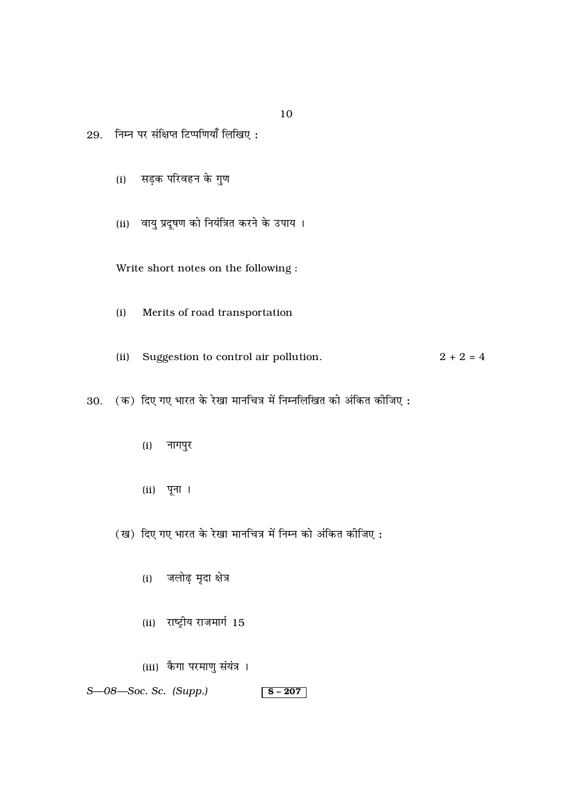29. निम्न पर संक्षिप्त टिप्पणियाँ लिखिए:

- (i) सड़क परिवहन के गुण
- (ii) वायु प्रदूषण को नियंत्रित करने के उपाय ।

Write short notes on the following :

Merits of road transportation  $(i)$ 

 $2 + 2 = 4$ (ii) Suggestion to control air pollution.

30. (क) दिए गए भारत के रेखा मानचित्र में निम्नलिखित को अंकित कीजिए:

- $(i)$  नागपुर
- $(ii)$  पूना ।

(ख) दिए गए भारत के रेखा मानचित्र में निम्न को अंकित कीजिए:

- (i) जलोढ़ मृदा क्षेत्र
- (ii) राष्ट्रीय राजमार्ग 15
- (iii) कैगा परमाणु संयंत्र ।

 $S$ — $08$ — $Soc$ . Sc. (Supp.)  $S - 207$ 

10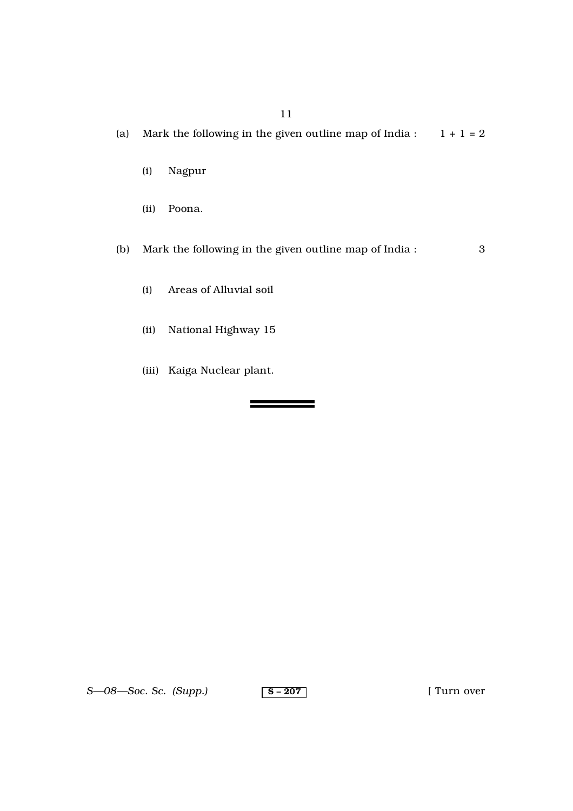(a) Mark the following in the given outline map of India :  $1 + 1 = 2$ 

- (i) Nagpur
- (ii) Poona.
- (b) Mark the following in the given outline map of India : 3

\_\_\_\_\_\_\_\_\_\_\_\_

- (i) Areas of Alluvial soil
- (ii) National Highway 15
- (iii) Kaiga Nuclear plant.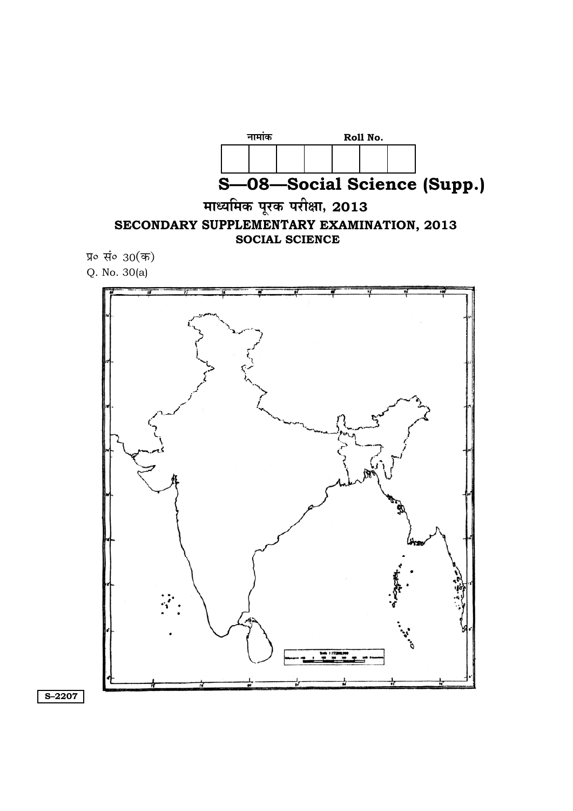

**. S–2207.**